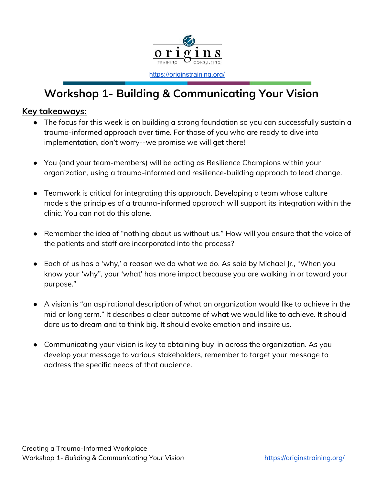

<https://originstraining.org/>

# **Workshop 1- Building & Communicating Your Vision**

### **Key takeaways:**

- The focus for this week is on building a strong foundation so you can successfully sustain a trauma-informed approach over time. For those of you who are ready to dive into implementation, don't worry--we promise we will get there!
- You (and your team-members) will be acting as Resilience Champions within your organization, using a trauma-informed and resilience-building approach to lead change.
- Teamwork is critical for integrating this approach. Developing a team whose culture models the principles of a trauma-informed approach will support its integration within the clinic. You can not do this alone.
- Remember the idea of "nothing about us without us." How will you ensure that the voice of the patients and staff are incorporated into the process?
- Each of us has a 'why,' a reason we do what we do. As said by Michael Jr., "When you know your 'why", your 'what' has more impact because you are walking in or toward your purpose."
- A vision is "an aspirational description of what an organization would like to achieve in the mid or long term." It describes a clear outcome of what we would like to achieve. It should dare us to dream and to think big. It should evoke emotion and inspire us.
- Communicating your vision is key to obtaining buy-in across the organization. As you develop your message to various stakeholders, remember to target your message to address the specific needs of that audience.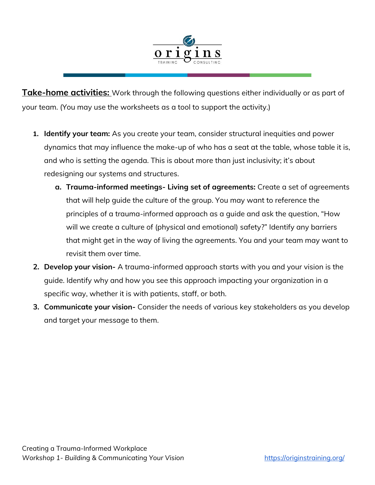

**Take-home activities:** Work through the following questions either individually or as part of your team. (You may use the worksheets as a tool to support the activity.)

- **1. Identify your team:** As you create your team, consider structural inequities and power dynamics that may influence the make-up of who has a seat at the table, whose table it is, and who is setting the agenda. This is about more than just inclusivity; it's about redesigning our systems and structures.
	- **a. Trauma-informed meetings- Living set of agreements:** Create a set of agreements that will help guide the culture of the group. You may want to reference the principles of a trauma-informed approach as a guide and ask the question, "How will we create a culture of (physical and emotional) safety?" Identify any barriers that might get in the way of living the agreements. You and your team may want to revisit them over time.
- **2. Develop your vision-** A trauma-informed approach starts with you and your vision is the guide. Identify why and how you see this approach impacting your organization in a specific way, whether it is with patients, staff, or both.
- **3. Communicate your vision-** Consider the needs of various key stakeholders as you develop and target your message to them.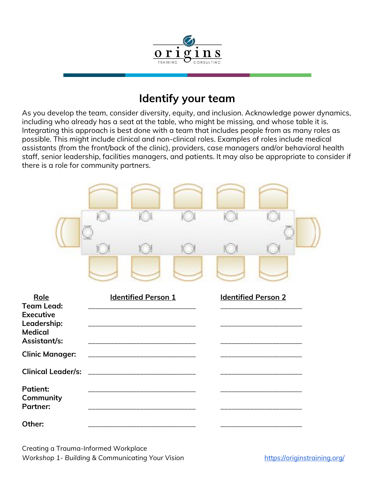

## **Identify your team**

As you develop the team, consider diversity, equity, and inclusion. Acknowledge power dynamics, including who already has a seat at the table, who might be missing, and whose table it is. Integrating this approach is best done with a team that includes people from as many roles as possible. This might include clinical and non-clinical roles. Examples of roles include medical assistants (from the front/back of the clinic), providers, case managers and/or behavioral health staff, senior leadership, facilities managers, and patients. It may also be appropriate to consider if there is a role for community partners.



Creating a Trauma-Informed Workplace *Workshop* 1- *Building* & *Communicating* Your Vision <https://originstraining.org/>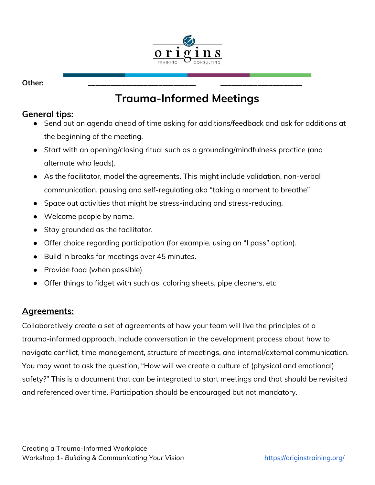

**Other:** \_\_\_\_\_\_\_\_\_\_\_\_\_\_\_\_\_\_\_\_\_\_\_\_\_\_\_\_\_ \_\_\_\_\_\_\_\_\_\_\_\_\_\_\_\_\_\_\_\_\_\_

# **Trauma-Informed Meetings**

### **General tips:**

- Send out an agenda ahead of time asking for additions/feedback and ask for additions at the beginning of the meeting.
- Start with an opening/closing ritual such as a grounding/mindfulness practice (and alternate who leads).
- As the facilitator, model the agreements. This might include validation, non-verbal communication, pausing and self-regulating aka "taking a moment to breathe"
- Space out activities that might be stress-inducing and stress-reducing.
- Welcome people by name.
- Stay grounded as the facilitator.
- Offer choice regarding participation (for example, using an "I pass" option).
- Build in breaks for meetings over 45 minutes.
- Provide food (when possible)
- Offer things to fidget with such as coloring sheets, pipe cleaners, etc

### **Agreements:**

Collaboratively create a set of agreements of how your team will live the principles of a trauma-informed approach. Include conversation in the development process about how to navigate conflict, time management, structure of meetings, and internal/external communication. You may want to ask the question, "How will we create a culture of (physical and emotional) safety?" This is a document that can be integrated to start meetings and that should be revisited and referenced over time. Participation should be encouraged but not mandatory.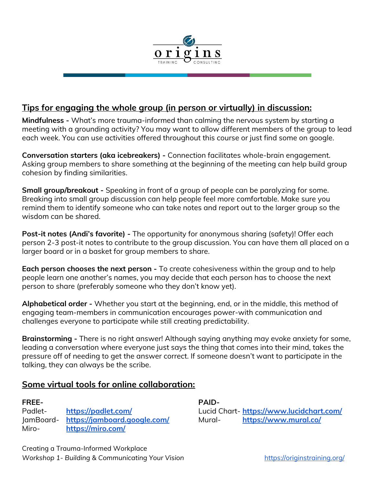

### **Tips for engaging the whole group (in person or virtually) in discussion:**

**Mindfulness -** What's more trauma-informed than calming the nervous system by starting a meeting with a grounding activity? You may want to allow different members of the group to lead each week. You can use activities offered throughout this course or just find some on google.

**Conversation starters (aka icebreakers) -** Connection facilitates whole-brain engagement. Asking group members to share something at the beginning of the meeting can help build group cohesion by finding similarities.

**Small group/breakout -** Speaking in front of a group of people can be paralyzing for some. Breaking into small group discussion can help people feel more comfortable. Make sure you remind them to identify someone who can take notes and report out to the larger group so the wisdom can be shared.

**Post-it notes (Andi's favorite) -** The opportunity for anonymous sharing (safety)! Offer each person 2-3 post-it notes to contribute to the group discussion. You can have them all placed on a larger board or in a basket for group members to share.

**Each person chooses the next person -** To create cohesiveness within the group and to help people learn one another's names, you may decide that each person has to choose the next person to share (preferably someone who they don't know yet).

**Alphabetical order -** Whether you start at the beginning, end, or in the middle, this method of engaging team-members in communication encourages power-with communication and challenges everyone to participate while still creating predictability.

**Brainstorming -** There is no right answer! Although saying anything may evoke anxiety for some, leading a conversation where everyone just says the thing that comes into their mind, takes the pressure off of needing to get the answer correct. If someone doesn't want to participate in the talking, they can always be the scribe.

### **Some virtual tools for online collaboration:**

| FREE-     |                              |
|-----------|------------------------------|
| Padlet-   | https://padlet.com/          |
| JamBoard- | https://jamboard.google.com/ |
| Miro-     | https://miro.com/            |

**PAID-**Lucid Chart- **<https://www.lucidchart.com/>** Mural- **<https://www.mural.co/>**

Creating a Trauma-Informed Workplace *Workshop* 1- *Building* & *Communicating* Your Vision <https://originstraining.org/>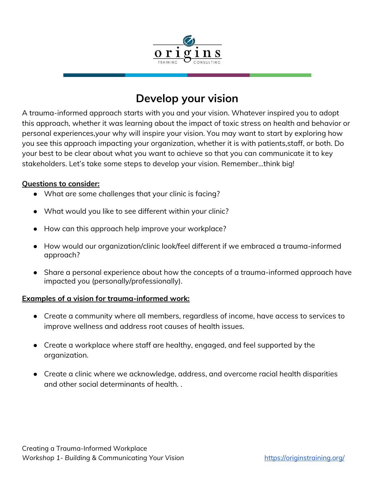

## **Develop your vision**

A trauma-informed approach starts with you and your vision. Whatever inspired you to adopt this approach, whether it was learning about the impact of toxic stress on health and behavior or personal experiences,your why will inspire your vision. You may want to start by exploring how you see this approach impacting your organization, whether it is with patients,staff, or both. Do your best to be clear about what you want to achieve so that you can communicate it to key stakeholders. Let's take some steps to develop your vision. Remember...think big!

#### **Questions to consider:**

- What are some challenges that your clinic is facing?
- What would you like to see different within your clinic?
- How can this approach help improve your workplace?
- How would our organization/clinic look/feel different if we embraced a trauma-informed approach?
- Share a personal experience about how the concepts of a trauma-informed approach have impacted you (personally/professionally).

#### **Examples of a vision for trauma-informed work:**

- Create a community where all members, regardless of income, have access to services to improve wellness and address root causes of health issues.
- Create a workplace where staff are healthy, engaged, and feel supported by the organization.
- Create a clinic where we acknowledge, address, and overcome racial health disparities and other social determinants of health. .